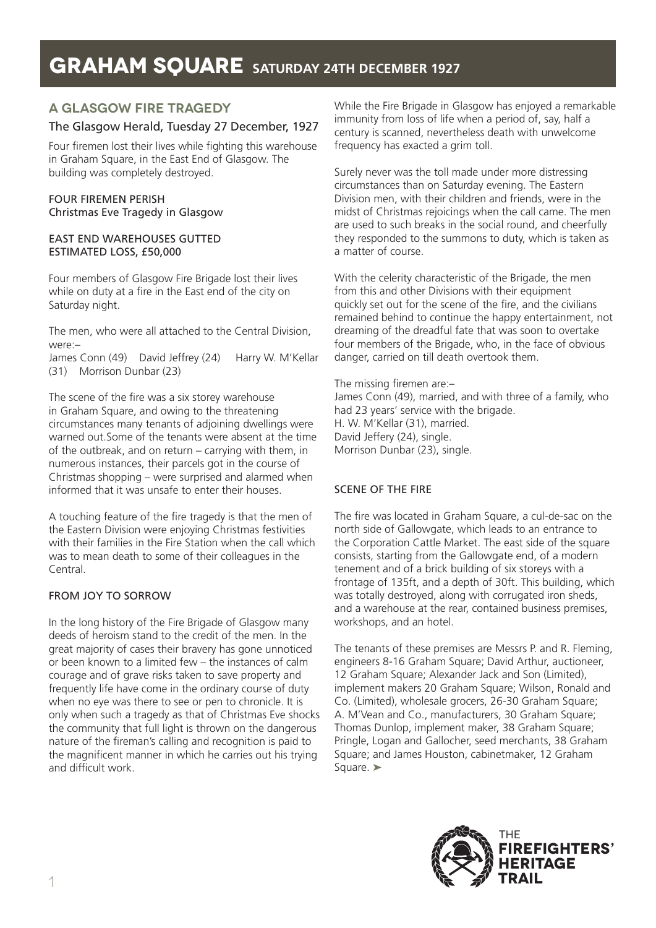# **A GLASGOW FIRE TRAGEDY**

# The Glasgow Herald, Tuesday 27 December, 1927

Four firemen lost their lives while fighting this warehouse in Graham Square, in the East End of Glasgow. The building was completely destroyed.

### FOUR FIREMEN PERISH Christmas Eve Tragedy in Glasgow

#### EAST END WAREHOUSES GUTTED ESTIMATED LOSS, £50,000

Four members of Glasgow Fire Brigade lost their lives while on duty at a fire in the East end of the city on Saturday night.

The men, who were all attached to the Central Division, were:–

James Conn (49) David Jeffrey (24) Harry W. M'Kellar (31) Morrison Dunbar (23)

The scene of the fire was a six storey warehouse in Graham Square, and owing to the threatening circumstances many tenants of adjoining dwellings were warned out.Some of the tenants were absent at the time of the outbreak, and on return – carrying with them, in numerous instances, their parcels got in the course of Christmas shopping – were surprised and alarmed when informed that it was unsafe to enter their houses.

A touching feature of the fire tragedy is that the men of the Eastern Division were enjoying Christmas festivities with their families in the Fire Station when the call which was to mean death to some of their colleagues in the Central.

# FROM JOY TO SORROW

In the long history of the Fire Brigade of Glasgow many deeds of heroism stand to the credit of the men. In the great majority of cases their bravery has gone unnoticed or been known to a limited few – the instances of calm courage and of grave risks taken to save property and frequently life have come in the ordinary course of duty when no eye was there to see or pen to chronicle. It is only when such a tragedy as that of Christmas Eve shocks the community that full light is thrown on the dangerous nature of the fireman's calling and recognition is paid to the magnificent manner in which he carries out his trying and difficult work.

While the Fire Brigade in Glasgow has enjoyed a remarkable immunity from loss of life when a period of, say, half a century is scanned, nevertheless death with unwelcome frequency has exacted a grim toll.

Surely never was the toll made under more distressing circumstances than on Saturday evening. The Eastern Division men, with their children and friends, were in the midst of Christmas rejoicings when the call came. The men are used to such breaks in the social round, and cheerfully they responded to the summons to duty, which is taken as a matter of course.

With the celerity characteristic of the Brigade, the men from this and other Divisions with their equipment quickly set out for the scene of the fire, and the civilians remained behind to continue the happy entertainment, not dreaming of the dreadful fate that was soon to overtake four members of the Brigade, who, in the face of obvious danger, carried on till death overtook them.

The missing firemen are:– James Conn (49), married, and with three of a family, who had 23 years' service with the brigade. H. W. M'Kellar (31), married. David Jeffery (24), single. Morrison Dunbar (23), single.

### SCENE OF THE FIRE

The fire was located in Graham Square, a cul-de-sac on the north side of Gallowgate, which leads to an entrance to the Corporation Cattle Market. The east side of the square consists, starting from the Gallowgate end, of a modern tenement and of a brick building of six storeys with a frontage of 135ft, and a depth of 30ft. This building, which was totally destroyed, along with corrugated iron sheds, and a warehouse at the rear, contained business premises, workshops, and an hotel.

The tenants of these premises are Messrs P. and R. Fleming, engineers 8-16 Graham Square; David Arthur, auctioneer, 12 Graham Square; Alexander Jack and Son (Limited), implement makers 20 Graham Square; Wilson, Ronald and Co. (Limited), wholesale grocers, 26-30 Graham Square; A. M'Vean and Co., manufacturers, 30 Graham Square; Thomas Dunlop, implement maker, 38 Graham Square; Pringle, Logan and Gallocher, seed merchants, 38 Graham Square; and James Houston, cabinetmaker, 12 Graham Square. <del>▶</del>

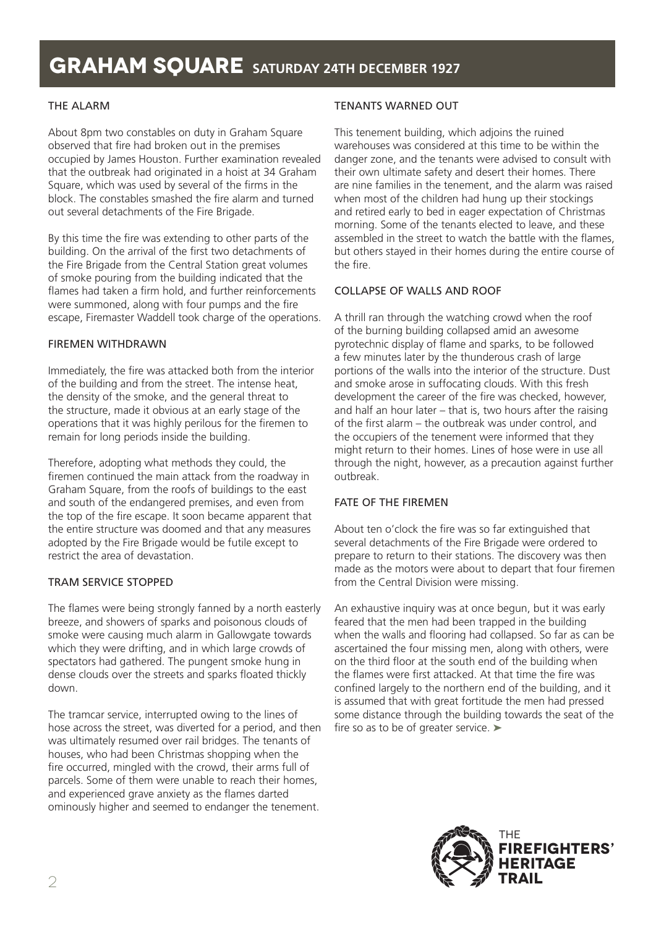# THE ALARM

About 8pm two constables on duty in Graham Square observed that fire had broken out in the premises occupied by James Houston. Further examination revealed that the outbreak had originated in a hoist at 34 Graham Square, which was used by several of the firms in the block. The constables smashed the fire alarm and turned out several detachments of the Fire Brigade.

By this time the fire was extending to other parts of the building. On the arrival of the first two detachments of the Fire Brigade from the Central Station great volumes of smoke pouring from the building indicated that the flames had taken a firm hold, and further reinforcements were summoned, along with four pumps and the fire escape, Firemaster Waddell took charge of the operations.

# FIREMEN WITHDRAWN

Immediately, the fire was attacked both from the interior of the building and from the street. The intense heat, the density of the smoke, and the general threat to the structure, made it obvious at an early stage of the operations that it was highly perilous for the firemen to remain for long periods inside the building.

Therefore, adopting what methods they could, the firemen continued the main attack from the roadway in Graham Square, from the roofs of buildings to the east and south of the endangered premises, and even from the top of the fire escape. It soon became apparent that the entire structure was doomed and that any measures adopted by the Fire Brigade would be futile except to restrict the area of devastation.

# TRAM SERVICE STOPPED

The flames were being strongly fanned by a north easterly breeze, and showers of sparks and poisonous clouds of smoke were causing much alarm in Gallowgate towards which they were drifting, and in which large crowds of spectators had gathered. The pungent smoke hung in dense clouds over the streets and sparks floated thickly down.

The tramcar service, interrupted owing to the lines of hose across the street, was diverted for a period, and then was ultimately resumed over rail bridges. The tenants of houses, who had been Christmas shopping when the fire occurred, mingled with the crowd, their arms full of parcels. Some of them were unable to reach their homes, and experienced grave anxiety as the flames darted ominously higher and seemed to endanger the tenement.

# TENANTS WARNED OUT

This tenement building, which adjoins the ruined warehouses was considered at this time to be within the danger zone, and the tenants were advised to consult with their own ultimate safety and desert their homes. There are nine families in the tenement, and the alarm was raised when most of the children had hung up their stockings and retired early to bed in eager expectation of Christmas morning. Some of the tenants elected to leave, and these assembled in the street to watch the battle with the flames, but others stayed in their homes during the entire course of the fire.

# COLLAPSE OF WALLS AND ROOF

A thrill ran through the watching crowd when the roof of the burning building collapsed amid an awesome pyrotechnic display of flame and sparks, to be followed a few minutes later by the thunderous crash of large portions of the walls into the interior of the structure. Dust and smoke arose in suffocating clouds. With this fresh development the career of the fire was checked, however, and half an hour later – that is, two hours after the raising of the first alarm – the outbreak was under control, and the occupiers of the tenement were informed that they might return to their homes. Lines of hose were in use all through the night, however, as a precaution against further outbreak.

# FATE OF THE FIREMEN

About ten o'clock the fire was so far extinguished that several detachments of the Fire Brigade were ordered to prepare to return to their stations. The discovery was then made as the motors were about to depart that four firemen from the Central Division were missing.

An exhaustive inquiry was at once begun, but it was early feared that the men had been trapped in the building when the walls and flooring had collapsed. So far as can be ascertained the four missing men, along with others, were on the third floor at the south end of the building when the flames were first attacked. At that time the fire was confined largely to the northern end of the building, and it is assumed that with great fortitude the men had pressed some distance through the building towards the seat of the fire so as to be of greater service. ➤

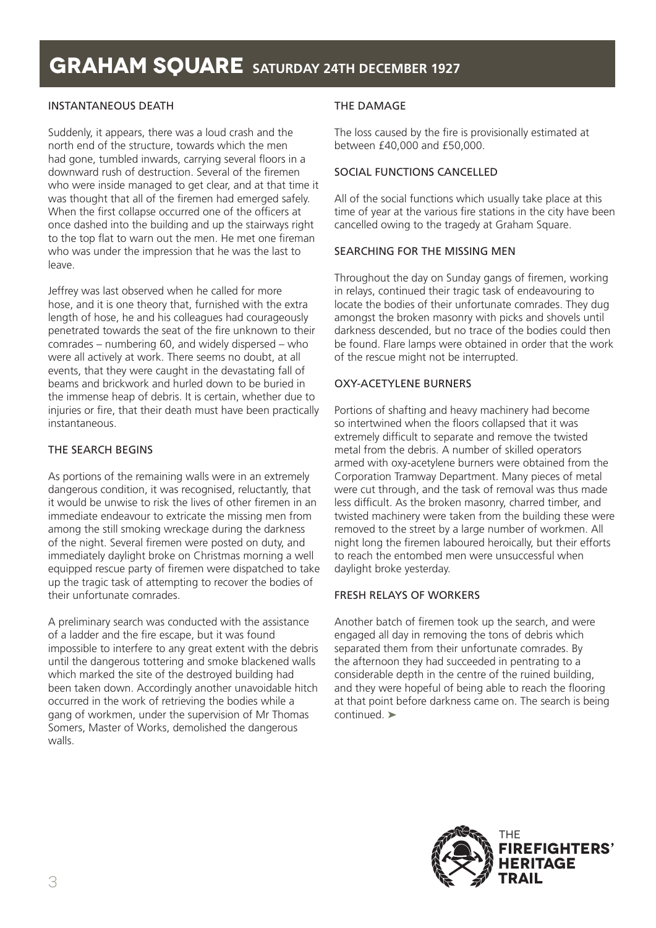# INSTANTANEOUS DEATH

Suddenly, it appears, there was a loud crash and the north end of the structure, towards which the men had gone, tumbled inwards, carrying several floors in a downward rush of destruction. Several of the firemen who were inside managed to get clear, and at that time it was thought that all of the firemen had emerged safely. When the first collapse occurred one of the officers at once dashed into the building and up the stairways right to the top flat to warn out the men. He met one fireman who was under the impression that he was the last to leave.

Jeffrey was last observed when he called for more hose, and it is one theory that, furnished with the extra length of hose, he and his colleagues had courageously penetrated towards the seat of the fire unknown to their comrades – numbering 60, and widely dispersed – who were all actively at work. There seems no doubt, at all events, that they were caught in the devastating fall of beams and brickwork and hurled down to be buried in the immense heap of debris. It is certain, whether due to injuries or fire, that their death must have been practically instantaneous.

### THE SEARCH BEGINS

As portions of the remaining walls were in an extremely dangerous condition, it was recognised, reluctantly, that it would be unwise to risk the lives of other firemen in an immediate endeavour to extricate the missing men from among the still smoking wreckage during the darkness of the night. Several firemen were posted on duty, and immediately daylight broke on Christmas morning a well equipped rescue party of firemen were dispatched to take up the tragic task of attempting to recover the bodies of their unfortunate comrades.

A preliminary search was conducted with the assistance of a ladder and the fire escape, but it was found impossible to interfere to any great extent with the debris until the dangerous tottering and smoke blackened walls which marked the site of the destroyed building had been taken down. Accordingly another unavoidable hitch occurred in the work of retrieving the bodies while a gang of workmen, under the supervision of Mr Thomas Somers, Master of Works, demolished the dangerous walls.

### THE DAMAGE

The loss caused by the fire is provisionally estimated at between £40,000 and £50,000.

# SOCIAL FUNCTIONS CANCELLED

All of the social functions which usually take place at this time of year at the various fire stations in the city have been cancelled owing to the tragedy at Graham Square.

### SEARCHING FOR THE MISSING MEN

Throughout the day on Sunday gangs of firemen, working in relays, continued their tragic task of endeavouring to locate the bodies of their unfortunate comrades. They dug amongst the broken masonry with picks and shovels until darkness descended, but no trace of the bodies could then be found. Flare lamps were obtained in order that the work of the rescue might not be interrupted.

### OXY-ACETYLENE BURNERS

Portions of shafting and heavy machinery had become so intertwined when the floors collapsed that it was extremely difficult to separate and remove the twisted metal from the debris. A number of skilled operators armed with oxy-acetylene burners were obtained from the Corporation Tramway Department. Many pieces of metal were cut through, and the task of removal was thus made less difficult. As the broken masonry, charred timber, and twisted machinery were taken from the building these were removed to the street by a large number of workmen. All night long the firemen laboured heroically, but their efforts to reach the entombed men were unsuccessful when daylight broke yesterday.

### FRESH RELAYS OF WORKERS

Another batch of firemen took up the search, and were engaged all day in removing the tons of debris which separated them from their unfortunate comrades. By the afternoon they had succeeded in pentrating to a considerable depth in the centre of the ruined building, and they were hopeful of being able to reach the flooring at that point before darkness came on. The search is being continued. ➤

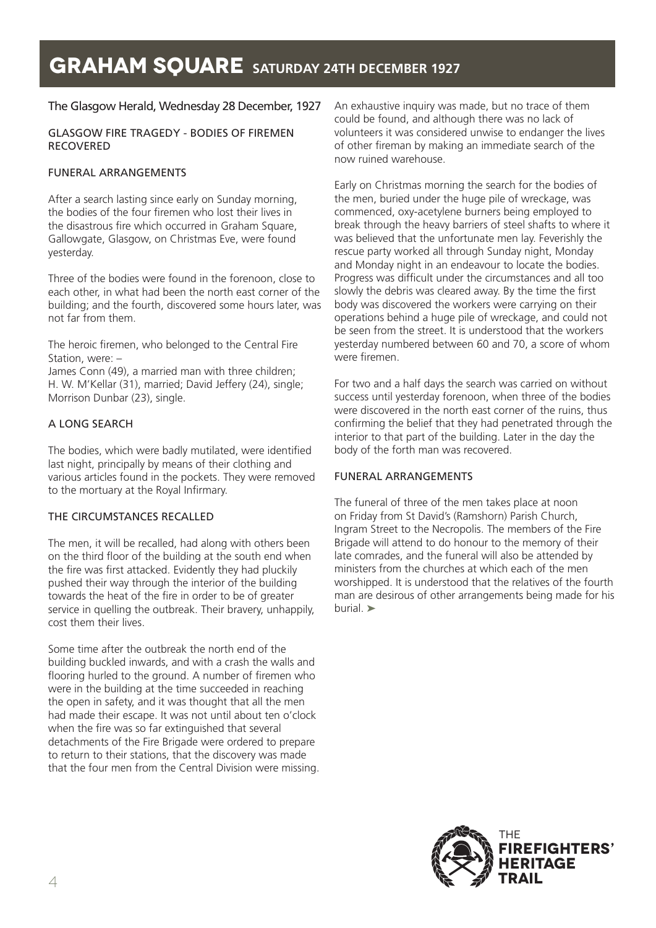# The Glasgow Herald, Wednesday 28 December, 1927

#### GLASGOW FIRE TRAGEDY - BODIES OF FIREMEN RECOVERED

### FUNERAL ARRANGEMENTS

After a search lasting since early on Sunday morning, the bodies of the four firemen who lost their lives in the disastrous fire which occurred in Graham Square, Gallowgate, Glasgow, on Christmas Eve, were found yesterday.

Three of the bodies were found in the forenoon, close to each other, in what had been the north east corner of the building; and the fourth, discovered some hours later, was not far from them.

The heroic firemen, who belonged to the Central Fire Station, were: –

James Conn (49), a married man with three children; H. W. M'Kellar (31), married; David Jeffery (24), single; Morrison Dunbar (23), single.

### A LONG SEARCH

The bodies, which were badly mutilated, were identified last night, principally by means of their clothing and various articles found in the pockets. They were removed to the mortuary at the Royal Infirmary.

### THE CIRCUMSTANCES RECALLED

The men, it will be recalled, had along with others been on the third floor of the building at the south end when the fire was first attacked. Evidently they had pluckily pushed their way through the interior of the building towards the heat of the fire in order to be of greater service in quelling the outbreak. Their bravery, unhappily, cost them their lives.

Some time after the outbreak the north end of the building buckled inwards, and with a crash the walls and flooring hurled to the ground. A number of firemen who were in the building at the time succeeded in reaching the open in safety, and it was thought that all the men had made their escape. It was not until about ten o'clock when the fire was so far extinguished that several detachments of the Fire Brigade were ordered to prepare to return to their stations, that the discovery was made that the four men from the Central Division were missing. An exhaustive inquiry was made, but no trace of them could be found, and although there was no lack of volunteers it was considered unwise to endanger the lives of other fireman by making an immediate search of the now ruined warehouse.

Early on Christmas morning the search for the bodies of the men, buried under the huge pile of wreckage, was commenced, oxy-acetylene burners being employed to break through the heavy barriers of steel shafts to where it was believed that the unfortunate men lay. Feverishly the rescue party worked all through Sunday night, Monday and Monday night in an endeavour to locate the bodies. Progress was difficult under the circumstances and all too slowly the debris was cleared away. By the time the first body was discovered the workers were carrying on their operations behind a huge pile of wreckage, and could not be seen from the street. It is understood that the workers yesterday numbered between 60 and 70, a score of whom were firemen.

For two and a half days the search was carried on without success until yesterday forenoon, when three of the bodies were discovered in the north east corner of the ruins, thus confirming the belief that they had penetrated through the interior to that part of the building. Later in the day the body of the forth man was recovered.

### FUNERAL ARRANGEMENTS

The funeral of three of the men takes place at noon on Friday from St David's (Ramshorn) Parish Church, Ingram Street to the Necropolis. The members of the Fire Brigade will attend to do honour to the memory of their late comrades, and the funeral will also be attended by ministers from the churches at which each of the men worshipped. It is understood that the relatives of the fourth man are desirous of other arrangements being made for his burial. ➤

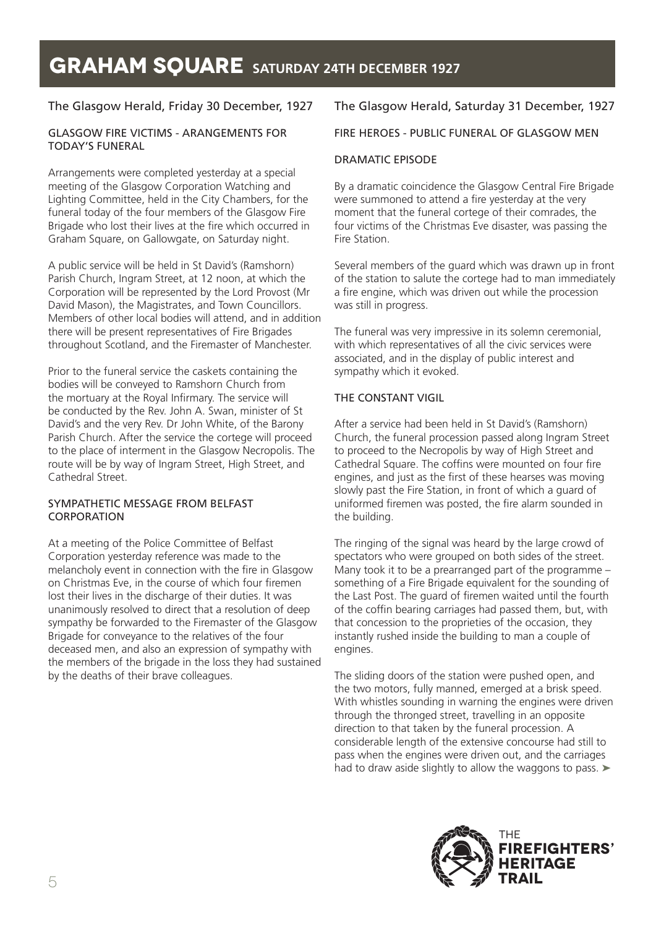# The Glasgow Herald, Friday 30 December, 1927

### GLASGOW FIRE VICTIMS - ARANGEMENTS FOR TODAY'S FUNERAL

Arrangements were completed yesterday at a special meeting of the Glasgow Corporation Watching and Lighting Committee, held in the City Chambers, for the funeral today of the four members of the Glasgow Fire Brigade who lost their lives at the fire which occurred in Graham Square, on Gallowgate, on Saturday night.

A public service will be held in St David's (Ramshorn) Parish Church, Ingram Street, at 12 noon, at which the Corporation will be represented by the Lord Provost (Mr David Mason), the Magistrates, and Town Councillors. Members of other local bodies will attend, and in addition there will be present representatives of Fire Brigades throughout Scotland, and the Firemaster of Manchester.

Prior to the funeral service the caskets containing the bodies will be conveyed to Ramshorn Church from the mortuary at the Royal Infirmary. The service will be conducted by the Rev. John A. Swan, minister of St David's and the very Rev. Dr John White, of the Barony Parish Church. After the service the cortege will proceed to the place of interment in the Glasgow Necropolis. The route will be by way of Ingram Street, High Street, and Cathedral Street.

### SYMPATHETIC MESSAGE FROM BELFAST CORPORATION

At a meeting of the Police Committee of Belfast Corporation yesterday reference was made to the melancholy event in connection with the fire in Glasgow on Christmas Eve, in the course of which four firemen lost their lives in the discharge of their duties. It was unanimously resolved to direct that a resolution of deep sympathy be forwarded to the Firemaster of the Glasgow Brigade for conveyance to the relatives of the four deceased men, and also an expression of sympathy with the members of the brigade in the loss they had sustained by the deaths of their brave colleagues.

# The Glasgow Herald, Saturday 31 December, 1927

# FIRE HEROES - PUBLIC FUNERAL OF GLASGOW MEN

### DRAMATIC EPISODE

By a dramatic coincidence the Glasgow Central Fire Brigade were summoned to attend a fire yesterday at the very moment that the funeral cortege of their comrades, the four victims of the Christmas Eve disaster, was passing the Fire Station.

Several members of the guard which was drawn up in front of the station to salute the cortege had to man immediately a fire engine, which was driven out while the procession was still in progress.

The funeral was very impressive in its solemn ceremonial, with which representatives of all the civic services were associated, and in the display of public interest and sympathy which it evoked.

### THE CONSTANT VIGIL

After a service had been held in St David's (Ramshorn) Church, the funeral procession passed along Ingram Street to proceed to the Necropolis by way of High Street and Cathedral Square. The coffins were mounted on four fire engines, and just as the first of these hearses was moving slowly past the Fire Station, in front of which a guard of uniformed firemen was posted, the fire alarm sounded in the building.

The ringing of the signal was heard by the large crowd of spectators who were grouped on both sides of the street. Many took it to be a prearranged part of the programme – something of a Fire Brigade equivalent for the sounding of the Last Post. The guard of firemen waited until the fourth of the coffin bearing carriages had passed them, but, with that concession to the proprieties of the occasion, they instantly rushed inside the building to man a couple of engines.

The sliding doors of the station were pushed open, and the two motors, fully manned, emerged at a brisk speed. With whistles sounding in warning the engines were driven through the thronged street, travelling in an opposite direction to that taken by the funeral procession. A considerable length of the extensive concourse had still to pass when the engines were driven out, and the carriages had to draw aside slightly to allow the waggons to pass. ►